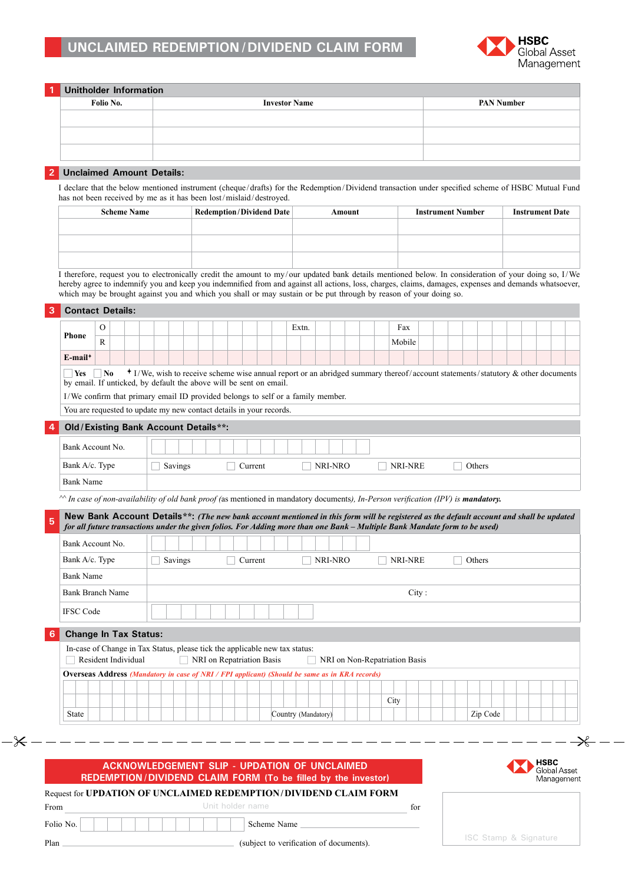

|                                                                                                                                                                                                                                                                            | <b>Unitholder Information</b><br>Folio No.                                                                                              |  |  |                      |  |  |  |         |                                 |                     |  |         |  |                                                                                                                                               |       |                          |          |  |                        |  |
|----------------------------------------------------------------------------------------------------------------------------------------------------------------------------------------------------------------------------------------------------------------------------|-----------------------------------------------------------------------------------------------------------------------------------------|--|--|----------------------|--|--|--|---------|---------------------------------|---------------------|--|---------|--|-----------------------------------------------------------------------------------------------------------------------------------------------|-------|--------------------------|----------|--|------------------------|--|
|                                                                                                                                                                                                                                                                            |                                                                                                                                         |  |  | <b>Investor Name</b> |  |  |  |         |                                 |                     |  |         |  | <b>PAN Number</b>                                                                                                                             |       |                          |          |  |                        |  |
|                                                                                                                                                                                                                                                                            |                                                                                                                                         |  |  |                      |  |  |  |         |                                 |                     |  |         |  |                                                                                                                                               |       |                          |          |  |                        |  |
|                                                                                                                                                                                                                                                                            |                                                                                                                                         |  |  |                      |  |  |  |         |                                 |                     |  |         |  |                                                                                                                                               |       |                          |          |  |                        |  |
|                                                                                                                                                                                                                                                                            | <b>Unclaimed Amount Details:</b>                                                                                                        |  |  |                      |  |  |  |         |                                 |                     |  |         |  |                                                                                                                                               |       |                          |          |  |                        |  |
| I declare that the below mentioned instrument (cheque/drafts) for the Redemption/Dividend transaction under specified scheme of HSBC Mutual Fund<br>has not been received by me as it has been lost/mislaid/destroyed.                                                     |                                                                                                                                         |  |  |                      |  |  |  |         |                                 |                     |  |         |  |                                                                                                                                               |       |                          |          |  |                        |  |
|                                                                                                                                                                                                                                                                            | <b>Scheme Name</b>                                                                                                                      |  |  |                      |  |  |  |         | <b>Redemption/Dividend Date</b> |                     |  | Amount  |  |                                                                                                                                               |       | <b>Instrument Number</b> |          |  | <b>Instrument Date</b> |  |
|                                                                                                                                                                                                                                                                            |                                                                                                                                         |  |  |                      |  |  |  |         |                                 |                     |  |         |  |                                                                                                                                               |       |                          |          |  |                        |  |
|                                                                                                                                                                                                                                                                            |                                                                                                                                         |  |  |                      |  |  |  |         |                                 |                     |  |         |  |                                                                                                                                               |       |                          |          |  |                        |  |
|                                                                                                                                                                                                                                                                            |                                                                                                                                         |  |  |                      |  |  |  |         |                                 |                     |  |         |  |                                                                                                                                               |       |                          |          |  |                        |  |
| I therefore, request you to electronically credit the amount to my/our updated bank details mentioned below. In consideration of your doing so, I/We                                                                                                                       |                                                                                                                                         |  |  |                      |  |  |  |         |                                 |                     |  |         |  |                                                                                                                                               |       |                          |          |  |                        |  |
| hereby agree to indemnify you and keep you indemnified from and against all actions, loss, charges, claims, damages, expenses and demands whatsoever,<br>which may be brought against you and which you shall or may sustain or be put through by reason of your doing so. |                                                                                                                                         |  |  |                      |  |  |  |         |                                 |                     |  |         |  |                                                                                                                                               |       |                          |          |  |                        |  |
|                                                                                                                                                                                                                                                                            | <b>Contact Details:</b>                                                                                                                 |  |  |                      |  |  |  |         |                                 |                     |  |         |  |                                                                                                                                               |       |                          |          |  |                        |  |
|                                                                                                                                                                                                                                                                            | 0                                                                                                                                       |  |  |                      |  |  |  |         |                                 | Extn.               |  |         |  | Fax                                                                                                                                           |       |                          |          |  |                        |  |
| <b>Phone</b>                                                                                                                                                                                                                                                               | $\mathbb{R}$                                                                                                                            |  |  |                      |  |  |  |         |                                 |                     |  |         |  | Mobile                                                                                                                                        |       |                          |          |  |                        |  |
| $E$ -mail <sup>+</sup>                                                                                                                                                                                                                                                     |                                                                                                                                         |  |  |                      |  |  |  |         |                                 |                     |  |         |  |                                                                                                                                               |       |                          |          |  |                        |  |
|                                                                                                                                                                                                                                                                            | Old/Existing Bank Account Details**:                                                                                                    |  |  |                      |  |  |  |         |                                 |                     |  |         |  |                                                                                                                                               |       |                          |          |  |                        |  |
|                                                                                                                                                                                                                                                                            | Bank Account No.                                                                                                                        |  |  |                      |  |  |  |         |                                 |                     |  |         |  |                                                                                                                                               |       |                          |          |  |                        |  |
| Bank A/c. Type                                                                                                                                                                                                                                                             |                                                                                                                                         |  |  | Savings              |  |  |  | Current |                                 |                     |  | NRI-NRO |  | NRI-NRE                                                                                                                                       |       |                          | Others   |  |                        |  |
| <b>Bank Name</b>                                                                                                                                                                                                                                                           |                                                                                                                                         |  |  |                      |  |  |  |         |                                 |                     |  |         |  |                                                                                                                                               |       |                          |          |  |                        |  |
|                                                                                                                                                                                                                                                                            |                                                                                                                                         |  |  |                      |  |  |  |         |                                 |                     |  |         |  | $\sim$ In case of non-availability of old bank proof (as mentioned in mandatory documents), In-Person verification (IPV) is <b>mandatory.</b> |       |                          |          |  |                        |  |
|                                                                                                                                                                                                                                                                            |                                                                                                                                         |  |  |                      |  |  |  |         |                                 |                     |  |         |  |                                                                                                                                               |       |                          |          |  |                        |  |
|                                                                                                                                                                                                                                                                            | New Bank Account Details**: (The new bank account mentioned in this form will be registered as the default account and shall be updated |  |  |                      |  |  |  |         |                                 |                     |  |         |  |                                                                                                                                               |       |                          |          |  |                        |  |
|                                                                                                                                                                                                                                                                            |                                                                                                                                         |  |  |                      |  |  |  |         |                                 |                     |  |         |  | for all future transactions under the given folios. For Adding more than one Bank - Multiple Bank Mandate form to be used)                    |       |                          |          |  |                        |  |
|                                                                                                                                                                                                                                                                            | Bank Account No.                                                                                                                        |  |  |                      |  |  |  |         |                                 |                     |  |         |  |                                                                                                                                               |       |                          |          |  |                        |  |
| Bank A/c. Type                                                                                                                                                                                                                                                             |                                                                                                                                         |  |  | Savings              |  |  |  | Current |                                 |                     |  | NRI-NRO |  | NRI-NRE                                                                                                                                       |       |                          | Others   |  |                        |  |
| <b>Bank Name</b>                                                                                                                                                                                                                                                           |                                                                                                                                         |  |  |                      |  |  |  |         |                                 |                     |  |         |  |                                                                                                                                               |       |                          |          |  |                        |  |
|                                                                                                                                                                                                                                                                            | <b>Bank Branch Name</b>                                                                                                                 |  |  |                      |  |  |  |         |                                 |                     |  |         |  |                                                                                                                                               | City: |                          |          |  |                        |  |
| <b>IFSC Code</b>                                                                                                                                                                                                                                                           |                                                                                                                                         |  |  |                      |  |  |  |         |                                 |                     |  |         |  |                                                                                                                                               |       |                          |          |  |                        |  |
|                                                                                                                                                                                                                                                                            | <b>Change In Tax Status:</b>                                                                                                            |  |  |                      |  |  |  |         |                                 |                     |  |         |  |                                                                                                                                               |       |                          |          |  |                        |  |
|                                                                                                                                                                                                                                                                            | In-case of Change in Tax Status, please tick the applicable new tax status:                                                             |  |  |                      |  |  |  |         |                                 |                     |  |         |  |                                                                                                                                               |       |                          |          |  |                        |  |
|                                                                                                                                                                                                                                                                            | Resident Individual                                                                                                                     |  |  |                      |  |  |  |         | NRI on Repatriation Basis       |                     |  |         |  | NRI on Non-Repatriation Basis                                                                                                                 |       |                          |          |  |                        |  |
|                                                                                                                                                                                                                                                                            | <b>Overseas Address (Mandatory in case of NRI / FPI applicant) (Should be same as in KRA records)</b>                                   |  |  |                      |  |  |  |         |                                 |                     |  |         |  |                                                                                                                                               |       |                          |          |  |                        |  |
|                                                                                                                                                                                                                                                                            |                                                                                                                                         |  |  |                      |  |  |  |         |                                 | Country (Mandatory) |  |         |  | City                                                                                                                                          |       |                          | Zip Code |  |                        |  |

# **Acknowledgement Slip - Updation of UNCLAIMED REDEMPTION/DIVIDEND CLAIM FORM (To be filled by the investor)**



# Request for **Updation of UNCLAIMED REDEMPTION/DIVIDEND CLAIM FORM** From Unit holder name for

Folio No. Scheme Name

Plan (subject to verification of documents).

ISC Stamp & Signature